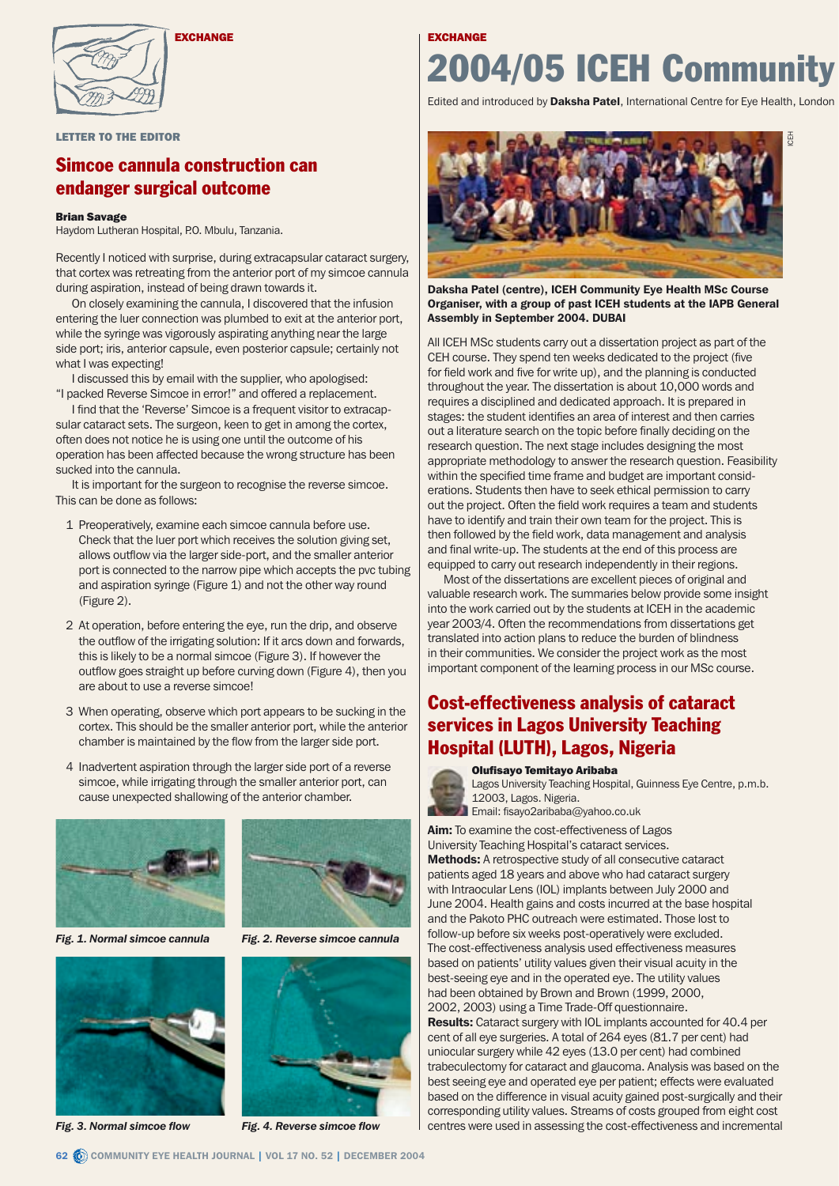

EXCHANGE

#### LETTER TO THE EDITOR

#### Simcoe cannula construction can endanger surgical outcome

#### Brian Savage

Haydom Lutheran Hospital, P.O. Mbulu, Tanzania.

Recently I noticed with surprise, during extracapsular cataract surgery, that cortex was retreating from the anterior port of my simcoe cannula during aspiration, instead of being drawn towards it.

On closely examining the cannula, I discovered that the infusion entering the luer connection was plumbed to exit at the anterior port, while the syringe was vigorously aspirating anything near the large side port; iris, anterior capsule, even posterior capsule; certainly not what I was expecting!

I discussed this by email with the supplier, who apologised: "I packed Reverse Simcoe in error!" and offered a replacement.

I find that the 'Reverse' Simcoe is a frequent visitor to extracapsular cataract sets. The surgeon, keen to get in among the cortex, often does not notice he is using one until the outcome of his operation has been affected because the wrong structure has been sucked into the cannula.

It is important for the surgeon to recognise the reverse simcoe. This can be done as follows:

- 1 Preoperatively, examine each simcoe cannula before use. Check that the luer port which receives the solution giving set, allows outflow via the larger side-port, and the smaller anterior port is connected to the narrow pipe which accepts the pvc tubing and aspiration syringe (Figure 1) and not the other way round (Figure 2).
- 2 At operation, before entering the eye, run the drip, and observe the outflow of the irrigating solution: If it arcs down and forwards, this is likely to be a normal simcoe (Figure 3). If however the outflow goes straight up before curving down (Figure 4), then you are about to use a reverse simcoe!
- 3 When operating, observe which port appears to be sucking in the cortex. This should be the smaller anterior port, while the anterior chamber is maintained by the flow from the larger side port.
- 4 Inadvertent aspiration through the larger side port of a reverse simcoe, while irrigating through the smaller anterior port, can cause unexpected shallowing of the anterior chamber.





*Fig. 3. Normal simcoe flow Fig. 4. Reverse simcoe flow*



*Fig. 1. Normal simcoe cannula Fig. 2. Reverse simcoe cannula*



# 2004/05 ICEH Community **EXCHANGE**

Edited and introduced by Daksha Patel, International Centre for Eye Health, London



Daksha Patel (centre), ICEH Community Eye Health MSc Course Organiser, with a group of past ICEH students at the IAPB General Assembly in September 2004. DUBAI

All ICEH MSc students carry out a dissertation project as part of the CEH course. They spend ten weeks dedicated to the project (five for field work and five for write up), and the planning is conducted throughout the year. The dissertation is about 10,000 words and requires a disciplined and dedicated approach. It is prepared in stages: the student identifies an area of interest and then carries out a literature search on the topic before finally deciding on the research question. The next stage includes designing the most appropriate methodology to answer the research question. Feasibility within the specified time frame and budget are important considerations. Students then have to seek ethical permission to carry out the project. Often the field work requires a team and students have to identify and train their own team for the project. This is then followed by the field work, data management and analysis and final write-up. The students at the end of this process are equipped to carry out research independently in their regions.

Most of the dissertations are excellent pieces of original and valuable research work. The summaries below provide some insight into the work carried out by the students at ICEH in the academic year 2003/4. Often the recommendations from dissertations get translated into action plans to reduce the burden of blindness in their communities. We consider the project work as the most important component of the learning process in our MSc course.

#### Cost-effectiveness analysis of cataract services in Lagos University Teaching Hospital (LUTH), Lagos, Nigeria



Olufisayo Temitayo Aribaba

Lagos University Teaching Hospital, Guinness Eye Centre, p.m.b. 12003, Lagos. Nigeria. Email: fisayo2aribaba@yahoo.co.uk

Aim: To examine the cost-effectiveness of Lagos

University Teaching Hospital's cataract services. Methods: A retrospective study of all consecutive cataract patients aged 18 years and above who had cataract surgery with Intraocular Lens (IOL) implants between July 2000 and June 2004. Health gains and costs incurred at the base hospital and the Pakoto PHC outreach were estimated. Those lost to follow-up before six weeks post-operatively were excluded. The cost-effectiveness analysis used effectiveness measures based on patients' utility values given their visual acuity in the best-seeing eye and in the operated eye. The utility values had been obtained by Brown and Brown (1999, 2000, 2002, 2003) using a Time Trade-Off questionnaire. Results: Cataract surgery with IOL implants accounted for 40.4 per cent of all eye surgeries. A total of 264 eyes (81.7 per cent) had uniocular surgery while 42 eyes (13.0 per cent) had combined trabeculectomy for cataract and glaucoma. Analysis was based on the best seeing eye and operated eye per patient; effects were evaluated based on the difference in visual acuity gained post-surgically and their corresponding utility values. Streams of costs grouped from eight cost centres were used in assessing the cost-effectiveness and incremental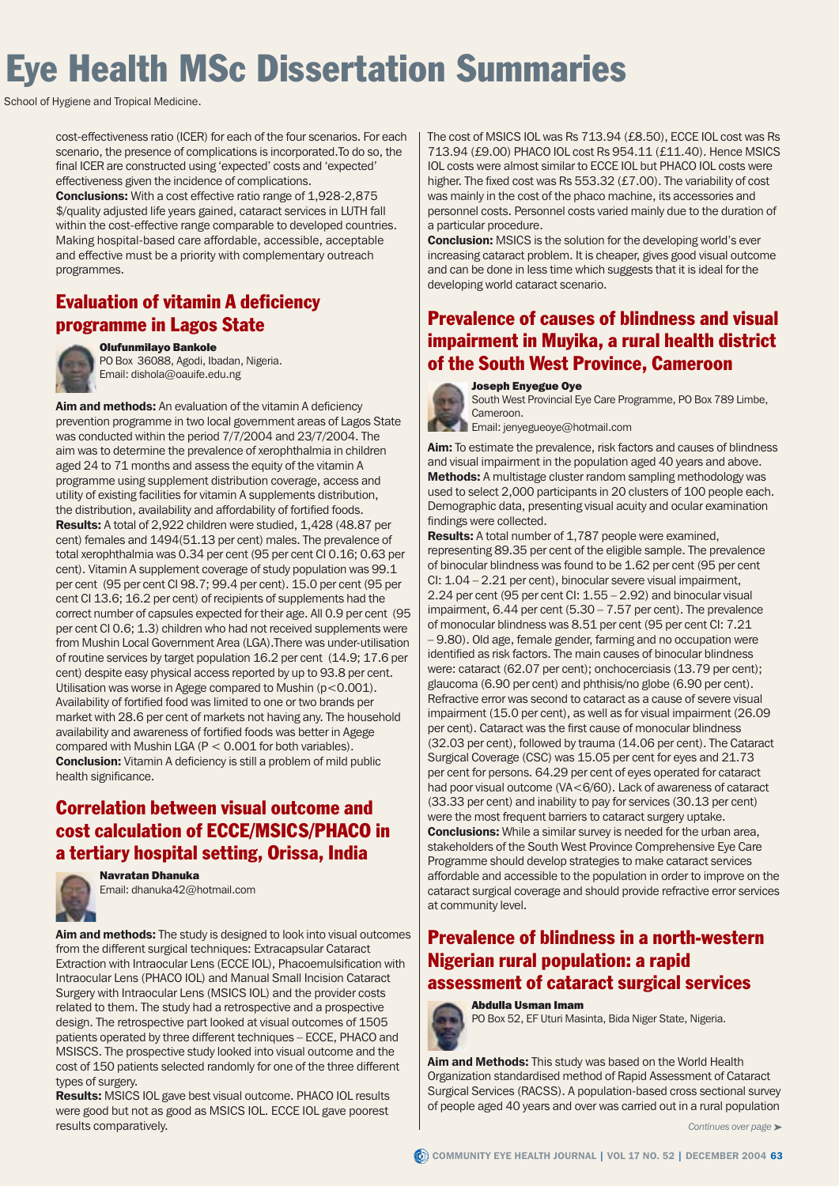# **Eye Health MSc Dissertation Summaries**

School of Hygiene and Tropical Medicine.

cost-effectiveness ratio (ICER) for each of the four scenarios. For each scenario, the presence of complications is incorporated.To do so, the final ICER are constructed using 'expected' costs and 'expected' effectiveness given the incidence of complications.

Conclusions: With a cost effective ratio range of 1,928-2,875 \$/quality adjusted life years gained, cataract services in LUTH fall within the cost-effective range comparable to developed countries. Making hospital-based care affordable, accessible, acceptable and effective must be a priority with complementary outreach programmes.

### Evaluation of vitamin A deficiency programme in Lagos State



Olufunmilayo Bankole PO Box 36088, Agodi, Ibadan, Nigeria. Email: dishola@oauife.edu.ng

Aim and methods: An evaluation of the vitamin A deficiency prevention programme in two local government areas of Lagos State was conducted within the period 7/7/2004 and 23/7/2004. The aim was to determine the prevalence of xerophthalmia in children aged 24 to 71 months and assess the equity of the vitamin A programme using supplement distribution coverage, access and utility of existing facilities for vitamin A supplements distribution, the distribution, availability and affordability of fortified foods. Results: A total of 2,922 children were studied, 1,428 (48.87 per cent) females and 1494(51.13 per cent) males. The prevalence of total xerophthalmia was 0.34 per cent (95 per cent CI 0.16; 0.63 per cent). Vitamin A supplement coverage of study population was 99.1 per cent (95 per cent CI 98.7; 99.4 per cent). 15.0 per cent (95 per cent CI 13.6; 16.2 per cent) of recipients of supplements had the correct number of capsules expected for their age. All 0.9 per cent (95 per cent CI 0.6; 1.3) children who had not received supplements were from Mushin Local Government Area (LGA).There was under-utilisation of routine services by target population 16.2 per cent (14.9; 17.6 per cent) despite easy physical access reported by up to 93.8 per cent. Utilisation was worse in Agege compared to Mushin (p<0.001). Availability of fortified food was limited to one or two brands per market with 28.6 per cent of markets not having any. The household availability and awareness of fortified foods was better in Agege compared with Mushin LGA ( $P < 0.001$  for both variables). Conclusion: Vitamin A deficiency is still a problem of mild public health significance.

## Correlation between visual outcome and cost calculation of ECCE/MSICS/PHACO in a tertiary hospital setting, Orissa, India



Navratan Dhanuka Email: dhanuka42@hotmail.com

Aim and methods: The study is designed to look into visual outcomes from the different surgical techniques: Extracapsular Cataract Extraction with Intraocular Lens (ECCE IOL), Phacoemulsification with Intraocular Lens (PHACO IOL) and Manual Small Incision Cataract Surgery with Intraocular Lens (MSICS IOL) and the provider costs related to them. The study had a retrospective and a prospective design. The retrospective part looked at visual outcomes of 1505 patients operated by three different techniques – ECCE, PHACO and MSISCS. The prospective study looked into visual outcome and the cost of 150 patients selected randomly for one of the three different types of surgery.

Results: MSICS IOL gave best visual outcome. PHACO IOL results were good but not as good as MSICS IOL. ECCE IOL gave poorest results comparatively.

The cost of MSICS IOL was Rs 713.94 (£8.50), ECCE IOL cost was Rs 713.94 (£9.00) PHACO IOL cost Rs 954.11 (£11.40). Hence MSICS IOL costs were almost similar to ECCE IOL but PHACO IOL costs were higher. The fixed cost was Rs 553.32 (£7.00). The variability of cost was mainly in the cost of the phaco machine, its accessories and personnel costs. Personnel costs varied mainly due to the duration of a particular procedure.

**Conclusion:** MSICS is the solution for the developing world's ever increasing cataract problem. It is cheaper, gives good visual outcome and can be done in less time which suggests that it is ideal for the developing world cataract scenario.

#### Prevalence of causes of blindness and visual impairment in Muyika, a rural health district of the South West Province, Cameroon



Joseph Enyegue Oye

South West Provincial Eye Care Programme, PO Box 789 Limbe, Cameroon.

Email: jenyegueoye@hotmail.com

Aim: To estimate the prevalence, risk factors and causes of blindness and visual impairment in the population aged 40 years and above. **Methods:** A multistage cluster random sampling methodology was used to select 2,000 participants in 20 clusters of 100 people each. Demographic data, presenting visual acuity and ocular examination findings were collected.

Results: A total number of 1,787 people were examined, representing 89.35 per cent of the eligible sample. The prevalence of binocular blindness was found to be 1.62 per cent (95 per cent CI: 1.04 – 2.21 per cent), binocular severe visual impairment, 2.24 per cent (95 per cent CI: 1.55 – 2.92) and binocular visual impairment, 6.44 per cent (5.30 – 7.57 per cent). The prevalence of monocular blindness was 8.51 per cent (95 per cent CI: 7.21 – 9.80). Old age, female gender, farming and no occupation were identified as risk factors. The main causes of binocular blindness were: cataract (62.07 per cent); onchocerciasis (13.79 per cent); glaucoma (6.90 per cent) and phthisis/no globe (6.90 per cent). Refractive error was second to cataract as a cause of severe visual impairment (15.0 per cent), as well as for visual impairment (26.09 per cent). Cataract was the first cause of monocular blindness (32.03 per cent), followed by trauma (14.06 per cent). The Cataract Surgical Coverage (CSC) was 15.05 per cent for eyes and 21.73 per cent for persons. 64.29 per cent of eyes operated for cataract had poor visual outcome (VA<6/60). Lack of awareness of cataract (33.33 per cent) and inability to pay for services (30.13 per cent) were the most frequent barriers to cataract surgery uptake. **Conclusions:** While a similar survey is needed for the urban area, stakeholders of the South West Province Comprehensive Eye Care Programme should develop strategies to make cataract services affordable and accessible to the population in order to improve on the cataract surgical coverage and should provide refractive error services at community level.

### Prevalence of blindness in a north-western Nigerian rural population: a rapid assessment of cataract surgical services



PO Box 52, EF Uturi Masinta, Bida Niger State, Nigeria.

Aim and Methods: This study was based on the World Health Organization standardised method of Rapid Assessment of Cataract Surgical Services (RACSS). A population-based cross sectional survey of people aged 40 years and over was carried out in a rural population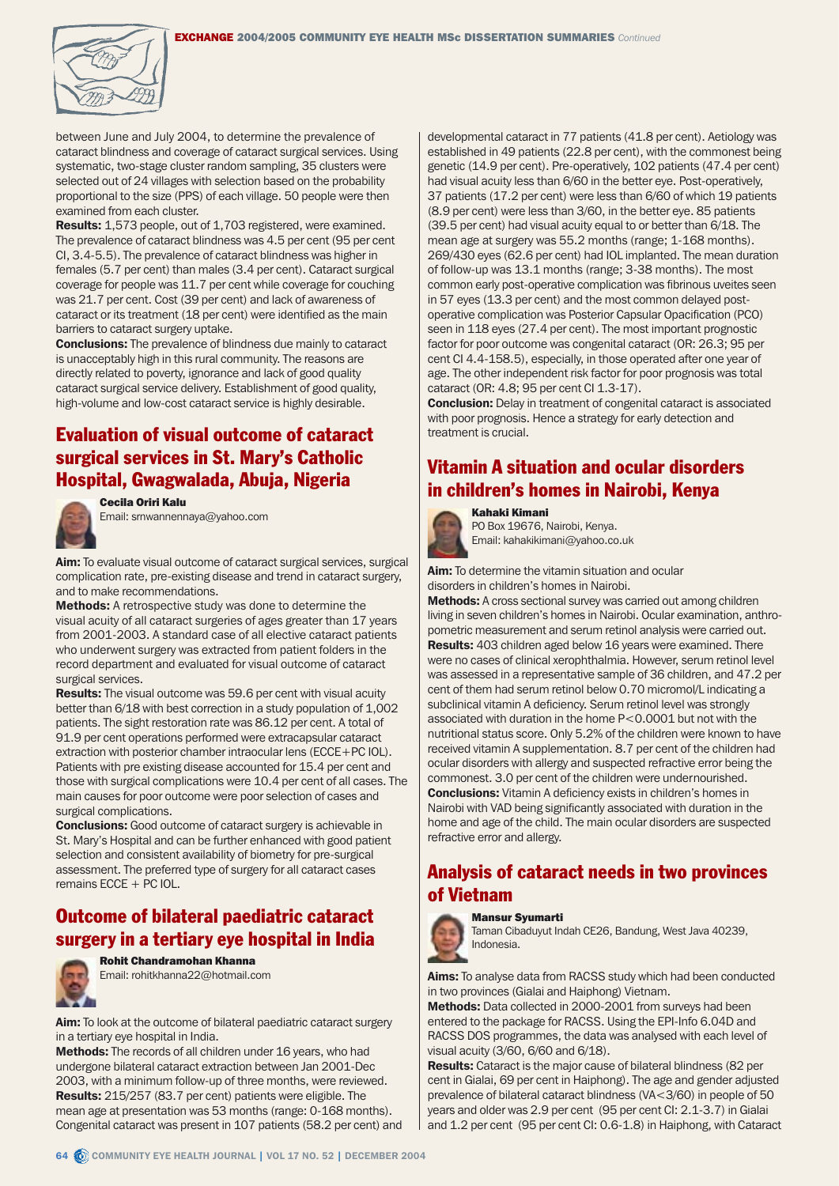

between June and July 2004, to determine the prevalence of cataract blindness and coverage of cataract surgical services. Using systematic, two-stage cluster random sampling, 35 clusters were selected out of 24 villages with selection based on the probability proportional to the size (PPS) of each village. 50 people were then examined from each cluster.

Results: 1,573 people, out of 1,703 registered, were examined. The prevalence of cataract blindness was 4.5 per cent (95 per cent CI, 3.4-5.5). The prevalence of cataract blindness was higher in females (5.7 per cent) than males (3.4 per cent). Cataract surgical coverage for people was 11.7 per cent while coverage for couching was 21.7 per cent. Cost (39 per cent) and lack of awareness of cataract or its treatment (18 per cent) were identified as the main barriers to cataract surgery uptake.

**Conclusions:** The prevalence of blindness due mainly to cataract is unacceptably high in this rural community. The reasons are directly related to poverty, ignorance and lack of good quality cataract surgical service delivery. Establishment of good quality, high-volume and low-cost cataract service is highly desirable.

#### Evaluation of visual outcome of cataract surgical services in St. Mary's Catholic Hospital, Gwagwalada, Abuja, Nigeria



Cecila Oriri Kalu Email: srnwannennaya@yahoo.com

Aim: To evaluate visual outcome of cataract surgical services, surgical complication rate, pre-existing disease and trend in cataract surgery, and to make recommendations.

Methods: A retrospective study was done to determine the visual acuity of all cataract surgeries of ages greater than 17 years from 2001-2003. A standard case of all elective cataract patients who underwent surgery was extracted from patient folders in the record department and evaluated for visual outcome of cataract surgical services.

**Results:** The visual outcome was 59.6 per cent with visual acuity better than 6/18 with best correction in a study population of 1,002 patients. The sight restoration rate was 86.12 per cent. A total of 91.9 per cent operations performed were extracapsular cataract extraction with posterior chamber intraocular lens (ECCE+PC IOL). Patients with pre existing disease accounted for 15.4 per cent and those with surgical complications were 10.4 per cent of all cases. The main causes for poor outcome were poor selection of cases and surgical complications.

**Conclusions:** Good outcome of cataract surgery is achievable in St. Mary's Hospital and can be further enhanced with good patient selection and consistent availability of biometry for pre-surgical assessment. The preferred type of surgery for all cataract cases remains ECCE + PC IOL.

#### Outcome of bilateral paediatric cataract surgery in a tertiary eye hospital in India



Rohit Chandramohan Khanna Email: rohitkhanna22@hotmail.com

Aim: To look at the outcome of bilateral paediatric cataract surgery in a tertiary eye hospital in India.

Methods: The records of all children under 16 years, who had undergone bilateral cataract extraction between Jan 2001-Dec 2003, with a minimum follow-up of three months, were reviewed. Results: 215/257 (83.7 per cent) patients were eligible. The mean age at presentation was 53 months (range: 0-168 months). Congenital cataract was present in 107 patients (58.2 per cent) and developmental cataract in 77 patients (41.8 per cent). Aetiology was established in 49 patients (22.8 per cent), with the commonest being genetic (14.9 per cent). Pre-operatively, 102 patients (47.4 per cent) had visual acuity less than 6/60 in the better eye. Post-operatively, 37 patients (17.2 per cent) were less than 6/60 of which 19 patients (8.9 per cent) were less than 3/60, in the better eye. 85 patients (39.5 per cent) had visual acuity equal to or better than 6/18. The mean age at surgery was 55.2 months (range; 1-168 months). 269/430 eyes (62.6 per cent) had IOL implanted. The mean duration of follow-up was 13.1 months (range; 3-38 months). The most common early post-operative complication was fibrinous uveites seen in 57 eyes (13.3 per cent) and the most common delayed postoperative complication was Posterior Capsular Opacification (PCO) seen in 118 eyes (27.4 per cent). The most important prognostic factor for poor outcome was congenital cataract (OR: 26.3; 95 per cent CI 4.4-158.5), especially, in those operated after one year of age. The other independent risk factor for poor prognosis was total cataract (OR: 4.8; 95 per cent CI 1.3-17).

Conclusion: Delay in treatment of congenital cataract is associated with poor prognosis. Hence a strategy for early detection and treatment is crucial.

## Vitamin A situation and ocular disorders in children's homes in Nairobi, Kenya



PO Box 19676, Nairobi, Kenya. Email: kahakikimani@yahoo.co.uk

Aim: To determine the vitamin situation and ocular disorders in children's homes in Nairobi.

Methods: A cross sectional survey was carried out among children living in seven children's homes in Nairobi. Ocular examination, anthropometric measurement and serum retinol analysis were carried out. Results: 403 children aged below 16 years were examined. There were no cases of clinical xerophthalmia. However, serum retinol level was assessed in a representative sample of 36 children, and 47.2 per cent of them had serum retinol below 0.70 micromol/L indicating a subclinical vitamin A deficiency. Serum retinol level was strongly associated with duration in the home P<0.0001 but not with the nutritional status score. Only 5.2% of the children were known to have received vitamin A supplementation. 8.7 per cent of the children had ocular disorders with allergy and suspected refractive error being the commonest. 3.0 per cent of the children were undernourished. Conclusions: Vitamin A deficiency exists in children's homes in Nairobi with VAD being significantly associated with duration in the home and age of the child. The main ocular disorders are suspected refractive error and allergy.

#### Analysis of cataract needs in two provinces of Vietnam



Taman Cibaduyut Indah CE26, Bandung, West Java 40239, Indonesia.

Aims: To analyse data from RACSS study which had been conducted in two provinces (Gialai and Haiphong) Vietnam.

Methods: Data collected in 2000-2001 from surveys had been entered to the package for RACSS. Using the EPI-Info 6.04D and RACSS DOS programmes, the data was analysed with each level of visual acuity (3/60, 6/60 and 6/18).

Results: Cataract is the major cause of bilateral blindness (82 per cent in Gialai, 69 per cent in Haiphong). The age and gender adjusted prevalence of bilateral cataract blindness (VA<3/60) in people of 50 years and older was 2.9 per cent (95 per cent CI: 2.1-3.7) in Gialai and 1.2 per cent (95 per cent CI: 0.6-1.8) in Haiphong, with Cataract